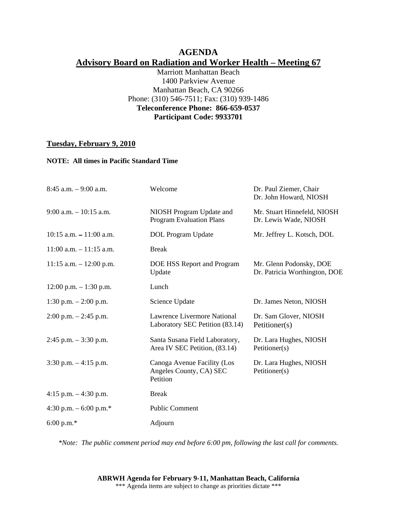# **AGENDA Advisory Board on Radiation and Worker Health – Meeting 67**

Marriott Manhattan Beach 1400 Parkview Avenue Manhattan Beach, CA 90266 Phone: (310) 546-7511; Fax: (310) 939-1486 **Teleconference Phone: 866-659-0537 Participant Code: 9933701** 

## **Tuesday, February 9, 2010**

## **NOTE: All times in Pacific Standard Time**

| Welcome                                                            | Dr. Paul Ziemer, Chair<br>Dr. John Howard, NIOSH         |
|--------------------------------------------------------------------|----------------------------------------------------------|
| NIOSH Program Update and<br>Program Evaluation Plans               | Mr. Stuart Hinnefeld, NIOSH<br>Dr. Lewis Wade, NIOSH     |
| DOL Program Update                                                 | Mr. Jeffrey L. Kotsch, DOL                               |
| <b>Break</b>                                                       |                                                          |
| DOE HSS Report and Program<br>Update                               | Mr. Glenn Podonsky, DOE<br>Dr. Patricia Worthington, DOE |
| Lunch                                                              |                                                          |
| Science Update                                                     | Dr. James Neton, NIOSH                                   |
| Lawrence Livermore National<br>Laboratory SEC Petition (83.14)     | Dr. Sam Glover, NIOSH<br>Petitioner(s)                   |
| Santa Susana Field Laboratory,<br>Area IV SEC Petition, (83.14)    | Dr. Lara Hughes, NIOSH<br>Petitioner(s)                  |
| Canoga Avenue Facility (Los<br>Angeles County, CA) SEC<br>Petition | Dr. Lara Hughes, NIOSH<br>Petitioner(s)                  |
| <b>Break</b>                                                       |                                                          |
| <b>Public Comment</b>                                              |                                                          |
| Adjourn                                                            |                                                          |
|                                                                    |                                                          |

*\*Note: The public comment period may end before 6:00 pm, following the last call for comments.*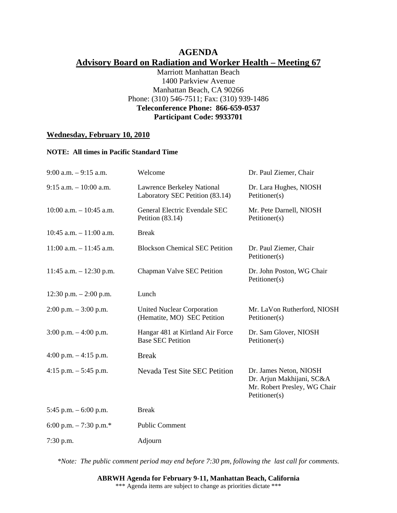# **AGENDA Advisory Board on Radiation and Worker Health – Meeting 67**

Marriott Manhattan Beach 1400 Parkview Avenue Manhattan Beach, CA 90266 Phone: (310) 546-7511; Fax: (310) 939-1486 **Teleconference Phone: 866-659-0537 Participant Code: 9933701** 

# **Wednesday, February 10, 2010**

#### **NOTE: All times in Pacific Standard Time**

| $9:00$ a.m. $-9:15$ a.m.   | Welcome                                                          | Dr. Paul Ziemer, Chair                                                                               |
|----------------------------|------------------------------------------------------------------|------------------------------------------------------------------------------------------------------|
| $9:15$ a.m. $-10:00$ a.m.  | Lawrence Berkeley National<br>Laboratory SEC Petition (83.14)    | Dr. Lara Hughes, NIOSH<br>Petitioner(s)                                                              |
| $10:00$ a.m. $-10:45$ a.m. | General Electric Evendale SEC<br>Petition $(83.14)$              | Mr. Pete Darnell, NIOSH<br>Petitioner(s)                                                             |
| $10:45$ a.m. $-11:00$ a.m. | <b>Break</b>                                                     |                                                                                                      |
| $11:00$ a.m. $-11:45$ a.m. | <b>Blockson Chemical SEC Petition</b>                            | Dr. Paul Ziemer, Chair<br>Petitioner(s)                                                              |
| 11:45 a.m. $- 12:30$ p.m.  | Chapman Valve SEC Petition                                       | Dr. John Poston, WG Chair<br>Petitioner(s)                                                           |
| 12:30 p.m. $- 2:00$ p.m.   | Lunch                                                            |                                                                                                      |
| $2:00$ p.m. $-3:00$ p.m.   | <b>United Nuclear Corporation</b><br>(Hematite, MO) SEC Petition | Mr. LaVon Rutherford, NIOSH<br>Petitioner(s)                                                         |
| $3:00$ p.m. $-4:00$ p.m.   | Hangar 481 at Kirtland Air Force<br><b>Base SEC Petition</b>     | Dr. Sam Glover, NIOSH<br>Petitioner(s)                                                               |
| 4:00 p.m. $-4:15$ p.m.     | <b>Break</b>                                                     |                                                                                                      |
| 4:15 p.m. $-$ 5:45 p.m.    | <b>Nevada Test Site SEC Petition</b>                             | Dr. James Neton, NIOSH<br>Dr. Arjun Makhijani, SC&A<br>Mr. Robert Presley, WG Chair<br>Petitioner(s) |
| 5:45 p.m. $-6:00$ p.m.     | <b>Break</b>                                                     |                                                                                                      |
| 6:00 p.m. $-7:30$ p.m.*    | <b>Public Comment</b>                                            |                                                                                                      |
| 7:30 p.m.                  | Adjourn                                                          |                                                                                                      |

*\*Note: The public comment period may end before 7:30 pm, following the last call for comments.*

#### **ABRWH Agenda for February 9-11, Manhattan Beach, California**  \*\*\* Agenda items are subject to change as priorities dictate \*\*\*